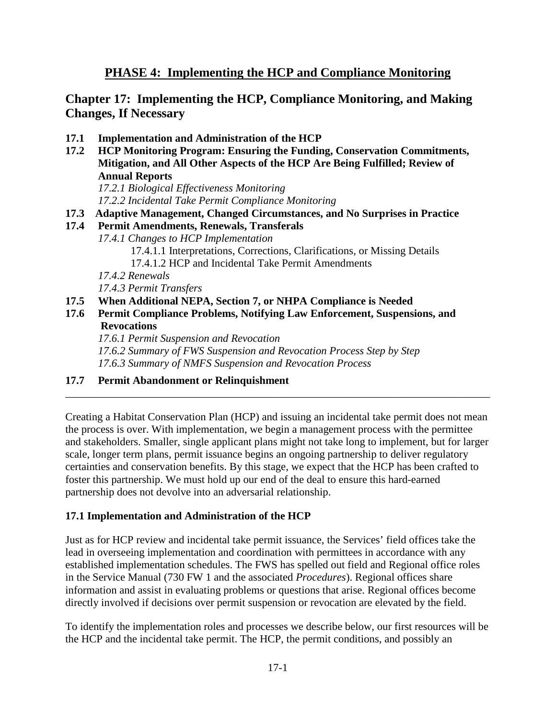# **PHASE 4: Implementing the HCP and Compliance Monitoring**

## **Chapter 17: Implementing the HCP, Compliance Monitoring, and Making Changes, If Necessary**

- **17.1 Implementation and Administration of the HCP**
- **17.2 HCP Monitoring Program: Ensuring the Funding, Conservation Commitments, Mitigation, and All Other Aspects of the HCP Are Being Fulfilled; Review of Annual Reports**

*17.2.1 Biological Effectiveness Monitoring 17.2.2 Incidental Take Permit Compliance Monitoring*

- **17.3 Adaptive Management, Changed Circumstances, and No Surprises in Practice**
- **17.4 Permit Amendments, Renewals, Transferals**
	- *17.4.1 Changes to HCP Implementation* 17.4.1.1 Interpretations, Corrections, Clarifications, or Missing Details 17.4.1.2 HCP and Incidental Take Permit Amendments *17.4.2 Renewals 17.4.3 Permit Transfers*
- **17.5 When Additional NEPA, Section 7, or NHPA Compliance is Needed**
- **17.6 Permit Compliance Problems, Notifying Law Enforcement, Suspensions, and Revocations**

*17.6.1 Permit Suspension and Revocation 17.6.2 Summary of FWS Suspension and Revocation Process Step by Step 17.6.3 Summary of NMFS Suspension and Revocation Process* 

#### **17.7 Permit Abandonment or Relinquishment**

Creating a Habitat Conservation Plan (HCP) and issuing an incidental take permit does not mean the process is over. With implementation, we begin a management process with the permittee and stakeholders. Smaller, single applicant plans might not take long to implement, but for larger scale, longer term plans, permit issuance begins an ongoing partnership to deliver regulatory certainties and conservation benefits. By this stage, we expect that the HCP has been crafted to foster this partnership. We must hold up our end of the deal to ensure this hard-earned partnership does not devolve into an adversarial relationship.

\_\_\_\_\_\_\_\_\_\_\_\_\_\_\_\_\_\_\_\_\_\_\_\_\_\_\_\_\_\_\_\_\_\_\_\_\_\_\_\_\_\_\_\_\_\_\_\_\_\_\_\_\_\_\_\_\_\_\_\_\_\_\_\_\_\_\_\_\_\_\_\_\_\_\_\_\_\_

#### **17.1 Implementation and Administration of the HCP**

Just as for HCP review and incidental take permit issuance, the Services' field offices take the lead in overseeing implementation and coordination with permittees in accordance with any established implementation schedules. The FWS has spelled out field and Regional office roles in the Service Manual (730 FW 1 and the associated *Procedures*). Regional offices share information and assist in evaluating problems or questions that arise. Regional offices become directly involved if decisions over permit suspension or revocation are elevated by the field.

To identify the implementation roles and processes we describe below, our first resources will be the HCP and the incidental take permit. The HCP, the permit conditions, and possibly an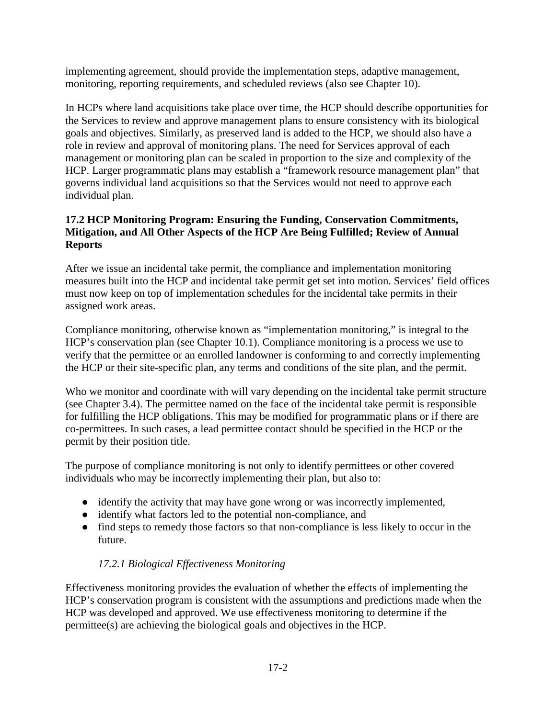implementing agreement, should provide the implementation steps, adaptive management, monitoring, reporting requirements, and scheduled reviews (also see Chapter 10).

In HCPs where land acquisitions take place over time, the HCP should describe opportunities for the Services to review and approve management plans to ensure consistency with its biological goals and objectives. Similarly, as preserved land is added to the HCP, we should also have a role in review and approval of monitoring plans. The need for Services approval of each management or monitoring plan can be scaled in proportion to the size and complexity of the HCP. Larger programmatic plans may establish a "framework resource management plan" that governs individual land acquisitions so that the Services would not need to approve each individual plan.

### **17.2 HCP Monitoring Program: Ensuring the Funding, Conservation Commitments, Mitigation, and All Other Aspects of the HCP Are Being Fulfilled; Review of Annual Reports**

After we issue an incidental take permit, the compliance and implementation monitoring measures built into the HCP and incidental take permit get set into motion. Services' field offices must now keep on top of implementation schedules for the incidental take permits in their assigned work areas.

Compliance monitoring, otherwise known as "implementation monitoring," is integral to the HCP's conservation plan (see Chapter 10.1). Compliance monitoring is a process we use to verify that the permittee or an enrolled landowner is conforming to and correctly implementing the HCP or their site-specific plan, any terms and conditions of the site plan, and the permit.

Who we monitor and coordinate with will vary depending on the incidental take permit structure (see Chapter 3.4). The permittee named on the face of the incidental take permit is responsible for fulfilling the HCP obligations. This may be modified for programmatic plans or if there are co-permittees. In such cases, a lead permittee contact should be specified in the HCP or the permit by their position title.

The purpose of compliance monitoring is not only to identify permittees or other covered individuals who may be incorrectly implementing their plan, but also to:

- identify the activity that may have gone wrong or was incorrectly implemented,
- identify what factors led to the potential non-compliance, and
- find steps to remedy those factors so that non-compliance is less likely to occur in the future.

# *17.2.1 Biological Effectiveness Monitoring*

Effectiveness monitoring provides the evaluation of whether the effects of implementing the HCP's conservation program is consistent with the assumptions and predictions made when the HCP was developed and approved. We use effectiveness monitoring to determine if the permittee(s) are achieving the biological goals and objectives in the HCP.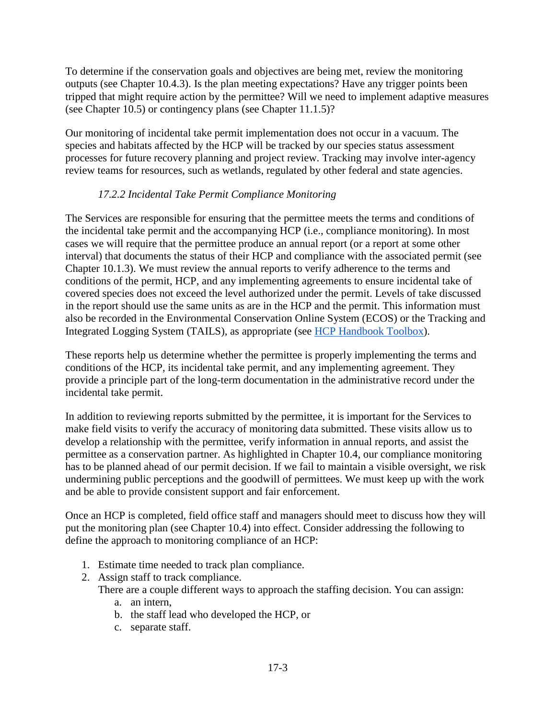To determine if the conservation goals and objectives are being met, review the monitoring outputs (see Chapter 10.4.3). Is the plan meeting expectations? Have any trigger points been tripped that might require action by the permittee? Will we need to implement adaptive measures (see Chapter 10.5) or contingency plans (see Chapter 11.1.5)?

Our monitoring of incidental take permit implementation does not occur in a vacuum. The species and habitats affected by the HCP will be tracked by our species status assessment processes for future recovery planning and project review. Tracking may involve inter-agency review teams for resources, such as wetlands, regulated by other federal and state agencies.

### *17.2.2 Incidental Take Permit Compliance Monitoring*

The Services are responsible for ensuring that the permittee meets the terms and conditions of the incidental take permit and the accompanying HCP (i.e., compliance monitoring). In most cases we will require that the permittee produce an annual report (or a report at some other interval) that documents the status of their HCP and compliance with the associated permit (see Chapter 10.1.3). We must review the annual reports to verify adherence to the terms and conditions of the permit, HCP, and any implementing agreements to ensure incidental take of covered species does not exceed the level authorized under the permit. Levels of take discussed in the report should use the same units as are in the HCP and the permit. This information must also be recorded in the Environmental Conservation Online System (ECOS) or the Tracking and Integrated Logging System (TAILS), as appropriate (see [HCP Handbook Toolbox\)](https://www.fws.gov/endangered/what-we-do/hcp-handbook-toolbox.html#Ch17).

These reports help us determine whether the permittee is properly implementing the terms and conditions of the HCP, its incidental take permit, and any implementing agreement. They provide a principle part of the long-term documentation in the administrative record under the incidental take permit.

In addition to reviewing reports submitted by the permittee, it is important for the Services to make field visits to verify the accuracy of monitoring data submitted. These visits allow us to develop a relationship with the permittee, verify information in annual reports, and assist the permittee as a conservation partner. As highlighted in Chapter 10.4, our compliance monitoring has to be planned ahead of our permit decision. If we fail to maintain a visible oversight, we risk undermining public perceptions and the goodwill of permittees. We must keep up with the work and be able to provide consistent support and fair enforcement.

Once an HCP is completed, field office staff and managers should meet to discuss how they will put the monitoring plan (see Chapter 10.4) into effect. Consider addressing the following to define the approach to monitoring compliance of an HCP:

- 1. Estimate time needed to track plan compliance.
- 2. Assign staff to track compliance.

There are a couple different ways to approach the staffing decision. You can assign:

- a. an intern,
- b. the staff lead who developed the HCP, or
- c. separate staff.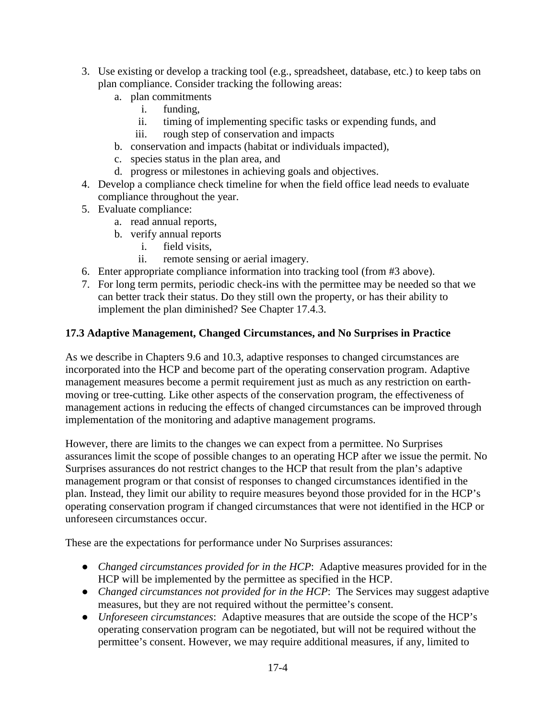- 3. Use existing or develop a tracking tool (e.g., spreadsheet, database, etc.) to keep tabs on plan compliance. Consider tracking the following areas:
	- a. plan commitments
		- i. funding,
		- ii. timing of implementing specific tasks or expending funds, and
		- iii. rough step of conservation and impacts
	- b. conservation and impacts (habitat or individuals impacted),
	- c. species status in the plan area, and
	- d. progress or milestones in achieving goals and objectives.
- 4. Develop a compliance check timeline for when the field office lead needs to evaluate compliance throughout the year.
- 5. Evaluate compliance:
	- a. read annual reports,
	- b. verify annual reports
		- i. field visits,
		- ii. remote sensing or aerial imagery.
- 6. Enter appropriate compliance information into tracking tool (from #3 above).
- 7. For long term permits, periodic check-ins with the permittee may be needed so that we can better track their status. Do they still own the property, or has their ability to implement the plan diminished? See Chapter 17.4.3.

#### **17.3 Adaptive Management, Changed Circumstances, and No Surprises in Practice**

As we describe in Chapters 9.6 and 10.3, adaptive responses to changed circumstances are incorporated into the HCP and become part of the operating conservation program. Adaptive management measures become a permit requirement just as much as any restriction on earthmoving or tree-cutting. Like other aspects of the conservation program, the effectiveness of management actions in reducing the effects of changed circumstances can be improved through implementation of the monitoring and adaptive management programs.

However, there are limits to the changes we can expect from a permittee. No Surprises assurances limit the scope of possible changes to an operating HCP after we issue the permit. No Surprises assurances do not restrict changes to the HCP that result from the plan's adaptive management program or that consist of responses to changed circumstances identified in the plan. Instead, they limit our ability to require measures beyond those provided for in the HCP's operating conservation program if changed circumstances that were not identified in the HCP or unforeseen circumstances occur.

These are the expectations for performance under No Surprises assurances:

- *Changed circumstances provided for in the HCP*: Adaptive measures provided for in the HCP will be implemented by the permittee as specified in the HCP.
- *Changed circumstances not provided for in the HCP*: The Services may suggest adaptive measures, but they are not required without the permittee's consent.
- *Unforeseen circumstances*: Adaptive measures that are outside the scope of the HCP's operating conservation program can be negotiated, but will not be required without the permittee's consent. However, we may require additional measures, if any, limited to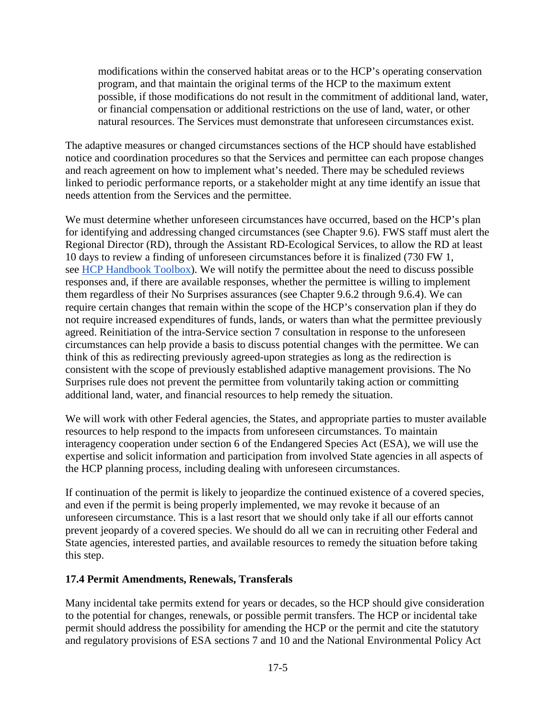modifications within the conserved habitat areas or to the HCP's operating conservation program, and that maintain the original terms of the HCP to the maximum extent possible, if those modifications do not result in the commitment of additional land, water, or financial compensation or additional restrictions on the use of land, water, or other natural resources. The Services must demonstrate that unforeseen circumstances exist.

The adaptive measures or changed circumstances sections of the HCP should have established notice and coordination procedures so that the Services and permittee can each propose changes and reach agreement on how to implement what's needed. There may be scheduled reviews linked to periodic performance reports, or a stakeholder might at any time identify an issue that needs attention from the Services and the permittee.

We must determine whether unforeseen circumstances have occurred, based on the HCP's plan for identifying and addressing changed circumstances (see Chapter 9.6). FWS staff must alert the Regional Director (RD), through the Assistant RD-Ecological Services, to allow the RD at least 10 days to review a finding of unforeseen circumstances before it is finalized (730 FW 1, see [HCP Handbook Toolbox\)](https://www.fws.gov/endangered/what-we-do/hcp-handbook-toolbox.html#Ch17). We will notify the permittee about the need to discuss possible responses and, if there are available responses, whether the permittee is willing to implement them regardless of their No Surprises assurances (see Chapter 9.6.2 through 9.6.4). We can require certain changes that remain within the scope of the HCP's conservation plan if they do not require increased expenditures of funds, lands, or waters than what the permittee previously agreed. Reinitiation of the intra-Service section 7 consultation in response to the unforeseen circumstances can help provide a basis to discuss potential changes with the permittee. We can think of this as redirecting previously agreed-upon strategies as long as the redirection is consistent with the scope of previously established adaptive management provisions. The No Surprises rule does not prevent the permittee from voluntarily taking action or committing additional land, water, and financial resources to help remedy the situation.

We will work with other Federal agencies, the States, and appropriate parties to muster available resources to help respond to the impacts from unforeseen circumstances. To maintain interagency cooperation under section 6 of the Endangered Species Act (ESA), we will use the expertise and solicit information and participation from involved State agencies in all aspects of the HCP planning process, including dealing with unforeseen circumstances.

If continuation of the permit is likely to jeopardize the continued existence of a covered species, and even if the permit is being properly implemented, we may revoke it because of an unforeseen circumstance. This is a last resort that we should only take if all our efforts cannot prevent jeopardy of a covered species. We should do all we can in recruiting other Federal and State agencies, interested parties, and available resources to remedy the situation before taking this step.

#### **17.4 Permit Amendments, Renewals, Transferals**

Many incidental take permits extend for years or decades, so the HCP should give consideration to the potential for changes, renewals, or possible permit transfers. The HCP or incidental take permit should address the possibility for amending the HCP or the permit and cite the statutory and regulatory provisions of ESA sections 7 and 10 and the National Environmental Policy Act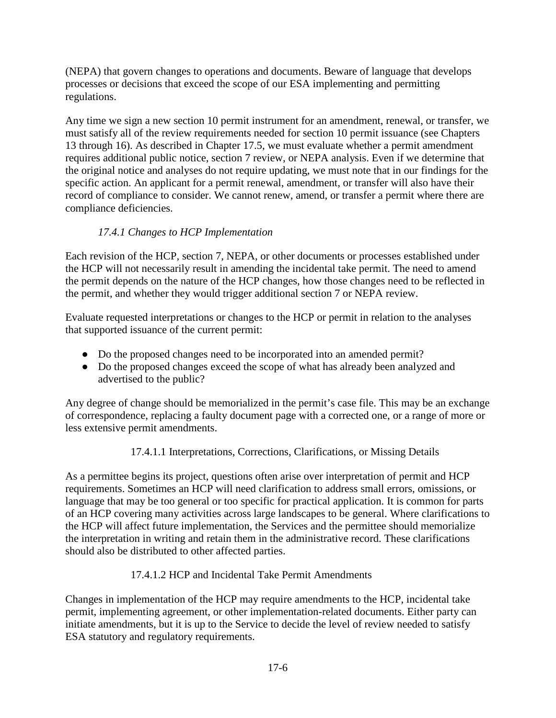(NEPA) that govern changes to operations and documents. Beware of language that develops processes or decisions that exceed the scope of our ESA implementing and permitting regulations.

Any time we sign a new section 10 permit instrument for an amendment, renewal, or transfer, we must satisfy all of the review requirements needed for section 10 permit issuance (see Chapters 13 through 16). As described in Chapter 17.5, we must evaluate whether a permit amendment requires additional public notice, section 7 review, or NEPA analysis. Even if we determine that the original notice and analyses do not require updating, we must note that in our findings for the specific action. An applicant for a permit renewal, amendment, or transfer will also have their record of compliance to consider. We cannot renew, amend, or transfer a permit where there are compliance deficiencies.

## *17.4.1 Changes to HCP Implementation*

Each revision of the HCP, section 7, NEPA, or other documents or processes established under the HCP will not necessarily result in amending the incidental take permit. The need to amend the permit depends on the nature of the HCP changes, how those changes need to be reflected in the permit, and whether they would trigger additional section 7 or NEPA review.

Evaluate requested interpretations or changes to the HCP or permit in relation to the analyses that supported issuance of the current permit:

- Do the proposed changes need to be incorporated into an amended permit?
- Do the proposed changes exceed the scope of what has already been analyzed and advertised to the public?

Any degree of change should be memorialized in the permit's case file. This may be an exchange of correspondence, replacing a faulty document page with a corrected one, or a range of more or less extensive permit amendments.

#### 17.4.1.1 Interpretations, Corrections, Clarifications, or Missing Details

As a permittee begins its project, questions often arise over interpretation of permit and HCP requirements. Sometimes an HCP will need clarification to address small errors, omissions, or language that may be too general or too specific for practical application. It is common for parts of an HCP covering many activities across large landscapes to be general. Where clarifications to the HCP will affect future implementation, the Services and the permittee should memorialize the interpretation in writing and retain them in the administrative record. These clarifications should also be distributed to other affected parties.

#### 17.4.1.2 HCP and Incidental Take Permit Amendments

Changes in implementation of the HCP may require amendments to the HCP, incidental take permit, implementing agreement, or other implementation-related documents. Either party can initiate amendments, but it is up to the Service to decide the level of review needed to satisfy ESA statutory and regulatory requirements.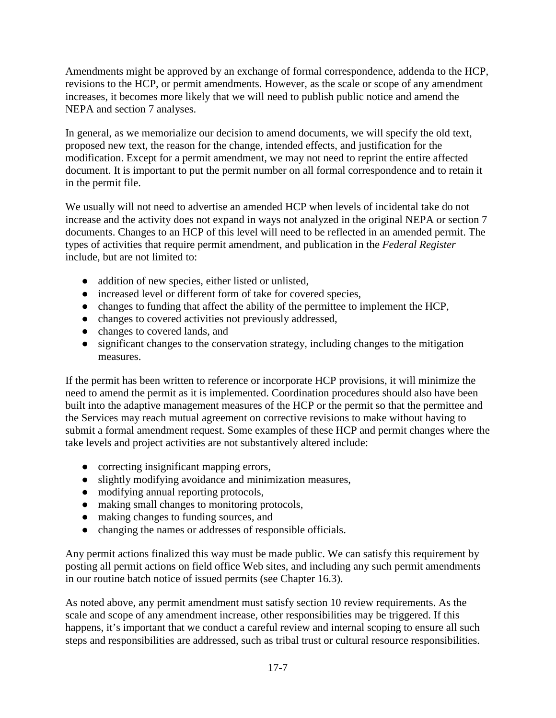Amendments might be approved by an exchange of formal correspondence, addenda to the HCP, revisions to the HCP, or permit amendments. However, as the scale or scope of any amendment increases, it becomes more likely that we will need to publish public notice and amend the NEPA and section 7 analyses.

In general, as we memorialize our decision to amend documents, we will specify the old text, proposed new text, the reason for the change, intended effects, and justification for the modification. Except for a permit amendment, we may not need to reprint the entire affected document. It is important to put the permit number on all formal correspondence and to retain it in the permit file.

We usually will not need to advertise an amended HCP when levels of incidental take do not increase and the activity does not expand in ways not analyzed in the original NEPA or section 7 documents. Changes to an HCP of this level will need to be reflected in an amended permit. The types of activities that require permit amendment, and publication in the *Federal Register* include, but are not limited to:

- addition of new species, either listed or unlisted,
- increased level or different form of take for covered species,
- changes to funding that affect the ability of the permittee to implement the HCP,
- changes to covered activities not previously addressed,
- changes to covered lands, and
- significant changes to the conservation strategy, including changes to the mitigation measures.

If the permit has been written to reference or incorporate HCP provisions, it will minimize the need to amend the permit as it is implemented. Coordination procedures should also have been built into the adaptive management measures of the HCP or the permit so that the permittee and the Services may reach mutual agreement on corrective revisions to make without having to submit a formal amendment request. Some examples of these HCP and permit changes where the take levels and project activities are not substantively altered include:

- correcting insignificant mapping errors,
- slightly modifying avoidance and minimization measures,
- modifying annual reporting protocols,
- making small changes to monitoring protocols,
- making changes to funding sources, and
- changing the names or addresses of responsible officials.

Any permit actions finalized this way must be made public. We can satisfy this requirement by posting all permit actions on field office Web sites, and including any such permit amendments in our routine batch notice of issued permits (see Chapter 16.3).

As noted above, any permit amendment must satisfy section 10 review requirements. As the scale and scope of any amendment increase, other responsibilities may be triggered. If this happens, it's important that we conduct a careful review and internal scoping to ensure all such steps and responsibilities are addressed, such as tribal trust or cultural resource responsibilities.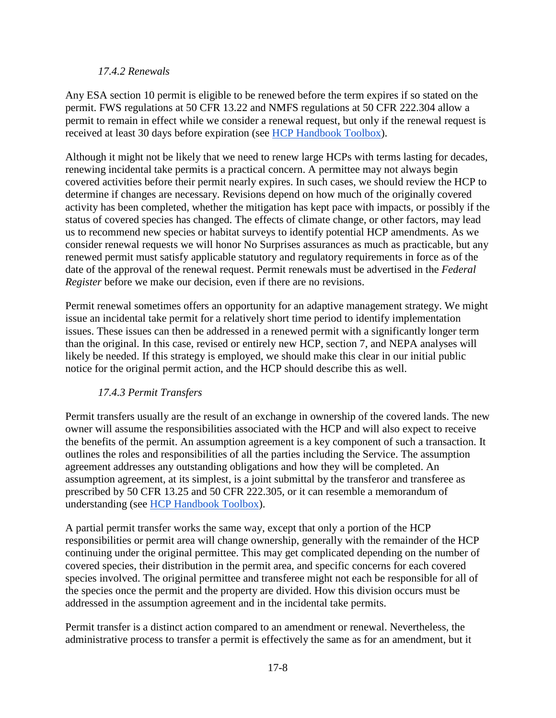#### *17.4.2 Renewals*

Any ESA section 10 permit is eligible to be renewed before the term expires if so stated on the permit. FWS regulations at 50 CFR 13.22 and NMFS regulations at 50 CFR 222.304 allow a permit to remain in effect while we consider a renewal request, but only if the renewal request is received at least 30 days before expiration (see [HCP Handbook Toolbox\)](https://www.fws.gov/endangered/what-we-do/hcp-handbook-toolbox.html#Ch17).

Although it might not be likely that we need to renew large HCPs with terms lasting for decades, renewing incidental take permits is a practical concern. A permittee may not always begin covered activities before their permit nearly expires. In such cases, we should review the HCP to determine if changes are necessary. Revisions depend on how much of the originally covered activity has been completed, whether the mitigation has kept pace with impacts, or possibly if the status of covered species has changed. The effects of climate change, or other factors, may lead us to recommend new species or habitat surveys to identify potential HCP amendments. As we consider renewal requests we will honor No Surprises assurances as much as practicable, but any renewed permit must satisfy applicable statutory and regulatory requirements in force as of the date of the approval of the renewal request. Permit renewals must be advertised in the *Federal Register* before we make our decision, even if there are no revisions.

Permit renewal sometimes offers an opportunity for an adaptive management strategy. We might issue an incidental take permit for a relatively short time period to identify implementation issues. These issues can then be addressed in a renewed permit with a significantly longer term than the original. In this case, revised or entirely new HCP, section 7, and NEPA analyses will likely be needed. If this strategy is employed, we should make this clear in our initial public notice for the original permit action, and the HCP should describe this as well.

#### *17.4.3 Permit Transfers*

Permit transfers usually are the result of an exchange in ownership of the covered lands. The new owner will assume the responsibilities associated with the HCP and will also expect to receive the benefits of the permit. An assumption agreement is a key component of such a transaction. It outlines the roles and responsibilities of all the parties including the Service. The assumption agreement addresses any outstanding obligations and how they will be completed. An assumption agreement, at its simplest, is a joint submittal by the transferor and transferee as prescribed by 50 CFR 13.25 and 50 CFR 222.305, or it can resemble a memorandum of understanding (see [HCP Handbook Toolbox\)](https://www.fws.gov/endangered/what-we-do/hcp-handbook-toolbox.html#Ch17).

A partial permit transfer works the same way, except that only a portion of the HCP responsibilities or permit area will change ownership, generally with the remainder of the HCP continuing under the original permittee. This may get complicated depending on the number of covered species, their distribution in the permit area, and specific concerns for each covered species involved. The original permittee and transferee might not each be responsible for all of the species once the permit and the property are divided. How this division occurs must be addressed in the assumption agreement and in the incidental take permits.

Permit transfer is a distinct action compared to an amendment or renewal. Nevertheless, the administrative process to transfer a permit is effectively the same as for an amendment, but it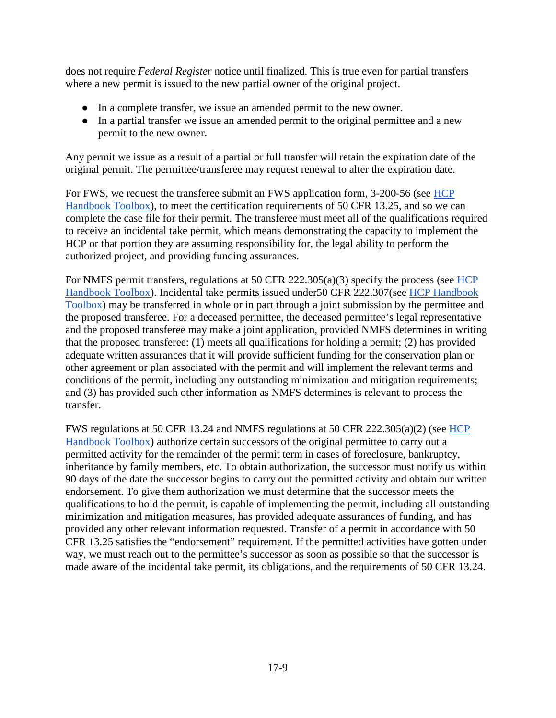does not require *Federal Register* notice until finalized. This is true even for partial transfers where a new permit is issued to the new partial owner of the original project.

- In a complete transfer, we issue an amended permit to the new owner.
- In a partial transfer we issue an amended permit to the original permittee and a new permit to the new owner.

Any permit we issue as a result of a partial or full transfer will retain the expiration date of the original permit. The permittee/transferee may request renewal to alter the expiration date.

For FWS, we request the transferee submit an FWS application form, 3-200-56 (see [HCP](https://www.fws.gov/endangered/what-we-do/hcp-handbook-toolbox.html#Ch17)  [Handbook Toolbox\)](https://www.fws.gov/endangered/what-we-do/hcp-handbook-toolbox.html#Ch17), to meet the certification requirements of 50 CFR 13.25, and so we can complete the case file for their permit. The transferee must meet all of the qualifications required to receive an incidental take permit, which means demonstrating the capacity to implement the HCP or that portion they are assuming responsibility for, the legal ability to perform the authorized project, and providing funding assurances.

For NMFS permit transfers, regulations at 50 CFR 222.305(a)(3) specify the process (see [HCP](https://www.fws.gov/endangered/what-we-do/hcp-handbook-toolbox.html#Ch17)  [Handbook Toolbox\)](https://www.fws.gov/endangered/what-we-do/hcp-handbook-toolbox.html#Ch17). Incidental take permits issued under50 CFR 222.307(see [HCP Handbook](https://www.fws.gov/endangered/what-we-do/hcp-handbook-toolbox.html#Ch17)  [Toolbox\)](https://www.fws.gov/endangered/what-we-do/hcp-handbook-toolbox.html#Ch17) may be transferred in whole or in part through a joint submission by the permittee and the proposed transferee. For a deceased permittee, the deceased permittee's legal representative and the proposed transferee may make a joint application, provided NMFS determines in writing that the proposed transferee: (1) meets all qualifications for holding a permit; (2) has provided adequate written assurances that it will provide sufficient funding for the conservation plan or other agreement or plan associated with the permit and will implement the relevant terms and conditions of the permit, including any outstanding minimization and mitigation requirements; and (3) has provided such other information as NMFS determines is relevant to process the transfer.

FWS regulations at 50 CFR 13.24 and NMFS regulations at 50 CFR 222.305(a)(2) (see [HCP](https://www.fws.gov/endangered/what-we-do/hcp-handbook-toolbox.html#Ch17)  [Handbook Toolbox\)](https://www.fws.gov/endangered/what-we-do/hcp-handbook-toolbox.html#Ch17) authorize certain successors of the original permittee to carry out a permitted activity for the remainder of the permit term in cases of foreclosure, bankruptcy, inheritance by family members, etc. To obtain authorization, the successor must notify us within 90 days of the date the successor begins to carry out the permitted activity and obtain our written endorsement. To give them authorization we must determine that the successor meets the qualifications to hold the permit, is capable of implementing the permit, including all outstanding minimization and mitigation measures, has provided adequate assurances of funding, and has provided any other relevant information requested. Transfer of a permit in accordance with 50 CFR 13.25 satisfies the "endorsement" requirement. If the permitted activities have gotten under way, we must reach out to the permittee's successor as soon as possible so that the successor is made aware of the incidental take permit, its obligations, and the requirements of 50 CFR 13.24.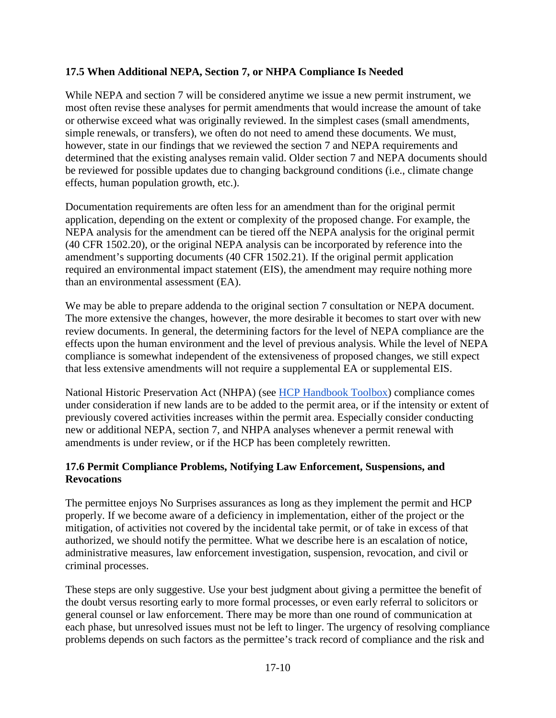#### **17.5 When Additional NEPA, Section 7, or NHPA Compliance Is Needed**

While NEPA and section 7 will be considered anytime we issue a new permit instrument, we most often revise these analyses for permit amendments that would increase the amount of take or otherwise exceed what was originally reviewed. In the simplest cases (small amendments, simple renewals, or transfers), we often do not need to amend these documents. We must, however, state in our findings that we reviewed the section 7 and NEPA requirements and determined that the existing analyses remain valid. Older section 7 and NEPA documents should be reviewed for possible updates due to changing background conditions (i.e., climate change effects, human population growth, etc.).

Documentation requirements are often less for an amendment than for the original permit application, depending on the extent or complexity of the proposed change. For example, the NEPA analysis for the amendment can be tiered off the NEPA analysis for the original permit (40 CFR 1502.20), or the original NEPA analysis can be incorporated by reference into the amendment's supporting documents (40 CFR 1502.21). If the original permit application required an environmental impact statement (EIS), the amendment may require nothing more than an environmental assessment (EA).

We may be able to prepare addenda to the original section 7 consultation or NEPA document. The more extensive the changes, however, the more desirable it becomes to start over with new review documents. In general, the determining factors for the level of NEPA compliance are the effects upon the human environment and the level of previous analysis. While the level of NEPA compliance is somewhat independent of the extensiveness of proposed changes, we still expect that less extensive amendments will not require a supplemental EA or supplemental EIS.

National Historic Preservation Act (NHPA) (see [HCP Handbook Toolbox\)](https://www.fws.gov/endangered/what-we-do/hcp-handbook-toolbox.html#Ch17) compliance comes under consideration if new lands are to be added to the permit area, or if the intensity or extent of previously covered activities increases within the permit area. Especially consider conducting new or additional NEPA, section 7, and NHPA analyses whenever a permit renewal with amendments is under review, or if the HCP has been completely rewritten.

#### **17.6 Permit Compliance Problems, Notifying Law Enforcement, Suspensions, and Revocations**

The permittee enjoys No Surprises assurances as long as they implement the permit and HCP properly. If we become aware of a deficiency in implementation, either of the project or the mitigation, of activities not covered by the incidental take permit, or of take in excess of that authorized, we should notify the permittee. What we describe here is an escalation of notice, administrative measures, law enforcement investigation, suspension, revocation, and civil or criminal processes.

These steps are only suggestive. Use your best judgment about giving a permittee the benefit of the doubt versus resorting early to more formal processes, or even early referral to solicitors or general counsel or law enforcement. There may be more than one round of communication at each phase, but unresolved issues must not be left to linger. The urgency of resolving compliance problems depends on such factors as the permittee's track record of compliance and the risk and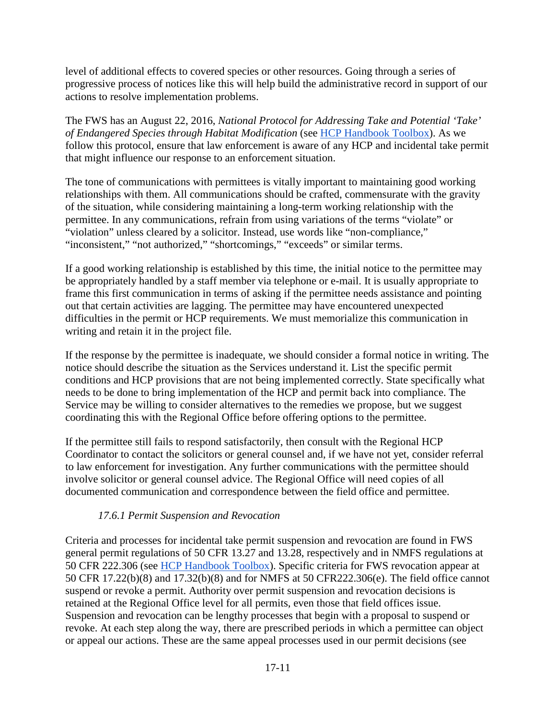level of additional effects to covered species or other resources. Going through a series of progressive process of notices like this will help build the administrative record in support of our actions to resolve implementation problems.

The FWS has an August 22, 2016, *National Protocol for Addressing Take and Potential 'Take' of Endangered Species through Habitat Modification* (see [HCP Handbook Toolbox\)](https://www.fws.gov/endangered/what-we-do/hcp-handbook-toolbox.html#Ch17). As we follow this protocol, ensure that law enforcement is aware of any HCP and incidental take permit that might influence our response to an enforcement situation.

The tone of communications with permittees is vitally important to maintaining good working relationships with them. All communications should be crafted, commensurate with the gravity of the situation, while considering maintaining a long-term working relationship with the permittee. In any communications, refrain from using variations of the terms "violate" or "violation" unless cleared by a solicitor. Instead, use words like "non-compliance," "inconsistent," "not authorized," "shortcomings," "exceeds" or similar terms.

If a good working relationship is established by this time, the initial notice to the permittee may be appropriately handled by a staff member via telephone or e-mail. It is usually appropriate to frame this first communication in terms of asking if the permittee needs assistance and pointing out that certain activities are lagging. The permittee may have encountered unexpected difficulties in the permit or HCP requirements. We must memorialize this communication in writing and retain it in the project file.

If the response by the permittee is inadequate, we should consider a formal notice in writing. The notice should describe the situation as the Services understand it. List the specific permit conditions and HCP provisions that are not being implemented correctly. State specifically what needs to be done to bring implementation of the HCP and permit back into compliance. The Service may be willing to consider alternatives to the remedies we propose, but we suggest coordinating this with the Regional Office before offering options to the permittee.

If the permittee still fails to respond satisfactorily, then consult with the Regional HCP Coordinator to contact the solicitors or general counsel and, if we have not yet, consider referral to law enforcement for investigation. Any further communications with the permittee should involve solicitor or general counsel advice. The Regional Office will need copies of all documented communication and correspondence between the field office and permittee.

## *17.6.1 Permit Suspension and Revocation*

Criteria and processes for incidental take permit suspension and revocation are found in FWS general permit regulations of 50 CFR 13.27 and 13.28, respectively and in NMFS regulations at 50 CFR 222.306 (see [HCP Handbook Toolbox\)](https://www.fws.gov/endangered/what-we-do/hcp-handbook-toolbox.html#Ch17). Specific criteria for FWS revocation appear at 50 CFR 17.22(b)(8) and 17.32(b)(8) and for NMFS at 50 CFR222.306(e). The field office cannot suspend or revoke a permit. Authority over permit suspension and revocation decisions is retained at the Regional Office level for all permits, even those that field offices issue. Suspension and revocation can be lengthy processes that begin with a proposal to suspend or revoke. At each step along the way, there are prescribed periods in which a permittee can object or appeal our actions. These are the same appeal processes used in our permit decisions (see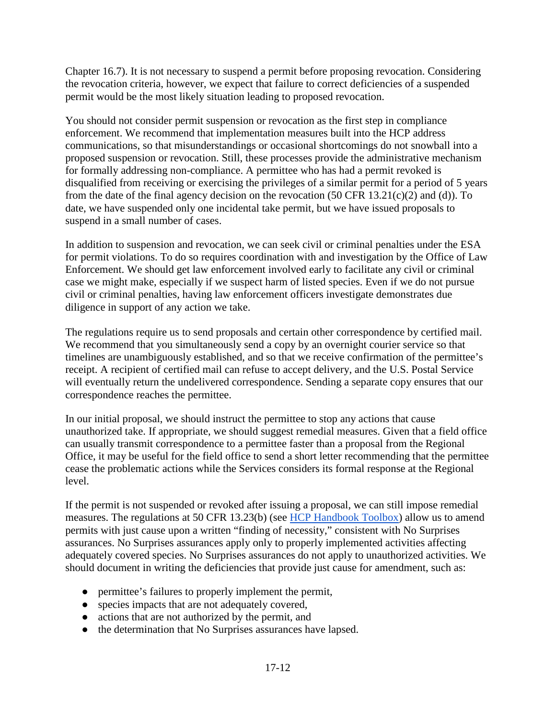Chapter 16.7). It is not necessary to suspend a permit before proposing revocation. Considering the revocation criteria, however, we expect that failure to correct deficiencies of a suspended permit would be the most likely situation leading to proposed revocation.

You should not consider permit suspension or revocation as the first step in compliance enforcement. We recommend that implementation measures built into the HCP address communications, so that misunderstandings or occasional shortcomings do not snowball into a proposed suspension or revocation. Still, these processes provide the administrative mechanism for formally addressing non-compliance. A permittee who has had a permit revoked is disqualified from receiving or exercising the privileges of a similar permit for a period of 5 years from the date of the final agency decision on the revocation  $(50 \text{ CFR } 13.21(c)(2)$  and (d)). To date, we have suspended only one incidental take permit, but we have issued proposals to suspend in a small number of cases.

In addition to suspension and revocation, we can seek civil or criminal penalties under the ESA for permit violations. To do so requires coordination with and investigation by the Office of Law Enforcement. We should get law enforcement involved early to facilitate any civil or criminal case we might make, especially if we suspect harm of listed species. Even if we do not pursue civil or criminal penalties, having law enforcement officers investigate demonstrates due diligence in support of any action we take.

The regulations require us to send proposals and certain other correspondence by certified mail. We recommend that you simultaneously send a copy by an overnight courier service so that timelines are unambiguously established, and so that we receive confirmation of the permittee's receipt. A recipient of certified mail can refuse to accept delivery, and the U.S. Postal Service will eventually return the undelivered correspondence. Sending a separate copy ensures that our correspondence reaches the permittee.

In our initial proposal, we should instruct the permittee to stop any actions that cause unauthorized take. If appropriate, we should suggest remedial measures. Given that a field office can usually transmit correspondence to a permittee faster than a proposal from the Regional Office, it may be useful for the field office to send a short letter recommending that the permittee cease the problematic actions while the Services considers its formal response at the Regional level.

If the permit is not suspended or revoked after issuing a proposal, we can still impose remedial measures. The regulations at 50 CFR 13.23(b) (see [HCP Handbook](https://www.fws.gov/endangered/what-we-do/hcp-handbook-toolbox.html#Ch17) Toolbox) allow us to amend permits with just cause upon a written "finding of necessity," consistent with No Surprises assurances. No Surprises assurances apply only to properly implemented activities affecting adequately covered species. No Surprises assurances do not apply to unauthorized activities. We should document in writing the deficiencies that provide just cause for amendment, such as:

- permittee's failures to properly implement the permit,
- species impacts that are not adequately covered,
- actions that are not authorized by the permit, and
- the determination that No Surprises assurances have lapsed.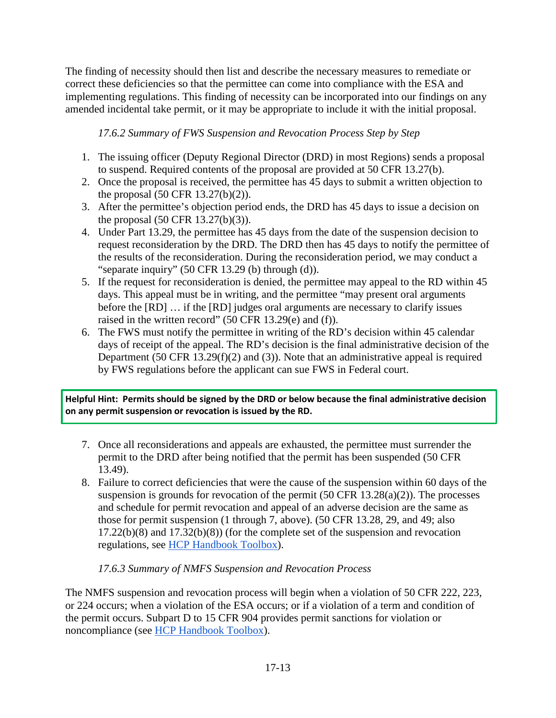The finding of necessity should then list and describe the necessary measures to remediate or correct these deficiencies so that the permittee can come into compliance with the ESA and implementing regulations. This finding of necessity can be incorporated into our findings on any amended incidental take permit, or it may be appropriate to include it with the initial proposal.

*17.6.2 Summary of FWS Suspension and Revocation Process Step by Step*

- 1. The issuing officer (Deputy Regional Director (DRD) in most Regions) sends a proposal to suspend. Required contents of the proposal are provided at 50 CFR 13.27(b).
- 2. Once the proposal is received, the permittee has 45 days to submit a written objection to the proposal (50 CFR 13.27(b)(2)).
- 3. After the permittee's objection period ends, the DRD has 45 days to issue a decision on the proposal (50 CFR 13.27(b)(3)).
- 4. Under Part 13.29, the permittee has 45 days from the date of the suspension decision to request reconsideration by the DRD. The DRD then has 45 days to notify the permittee of the results of the reconsideration. During the reconsideration period, we may conduct a "separate inquiry" (50 CFR 13.29 (b) through (d)).
- 5. If the request for reconsideration is denied, the permittee may appeal to the RD within 45 days. This appeal must be in writing, and the permittee "may present oral arguments before the [RD] … if the [RD] judges oral arguments are necessary to clarify issues raised in the written record" (50 CFR 13.29(e) and (f)).
- 6. The FWS must notify the permittee in writing of the RD's decision within 45 calendar days of receipt of the appeal. The RD's decision is the final administrative decision of the Department (50 CFR 13.29(f)(2) and (3)). Note that an administrative appeal is required by FWS regulations before the applicant can sue FWS in Federal court.

**Helpful Hint: Permits should be signed by the DRD or below because the final administrative decision on any permit suspension or revocation is issued by the RD.**

- 7. Once all reconsiderations and appeals are exhausted, the permittee must surrender the permit to the DRD after being notified that the permit has been suspended (50 CFR 13.49).
- 8. Failure to correct deficiencies that were the cause of the suspension within 60 days of the suspension is grounds for revocation of the permit  $(50 \text{ CFR } 13.28(a)(2))$ . The processes and schedule for permit revocation and appeal of an adverse decision are the same as those for permit suspension (1 through 7, above). (50 CFR 13.28, 29, and 49; also 17.22(b)(8) and 17.32(b)(8)) (for the complete set of the suspension and revocation regulations, see [HCP Handbook Toolbox\)](https://www.fws.gov/endangered/what-we-do/hcp-handbook-toolbox.html#Ch17).

## *17.6.3 Summary of NMFS Suspension and Revocation Process*

The NMFS suspension and revocation process will begin when a violation of 50 CFR 222, 223, or 224 occurs; when a violation of the ESA occurs; or if a violation of a term and condition of the permit occurs. Subpart D to 15 CFR 904 provides permit sanctions for violation or noncompliance (see [HCP Handbook Toolbox\)](https://www.fws.gov/endangered/what-we-do/hcp-handbook-toolbox.html#Ch17).